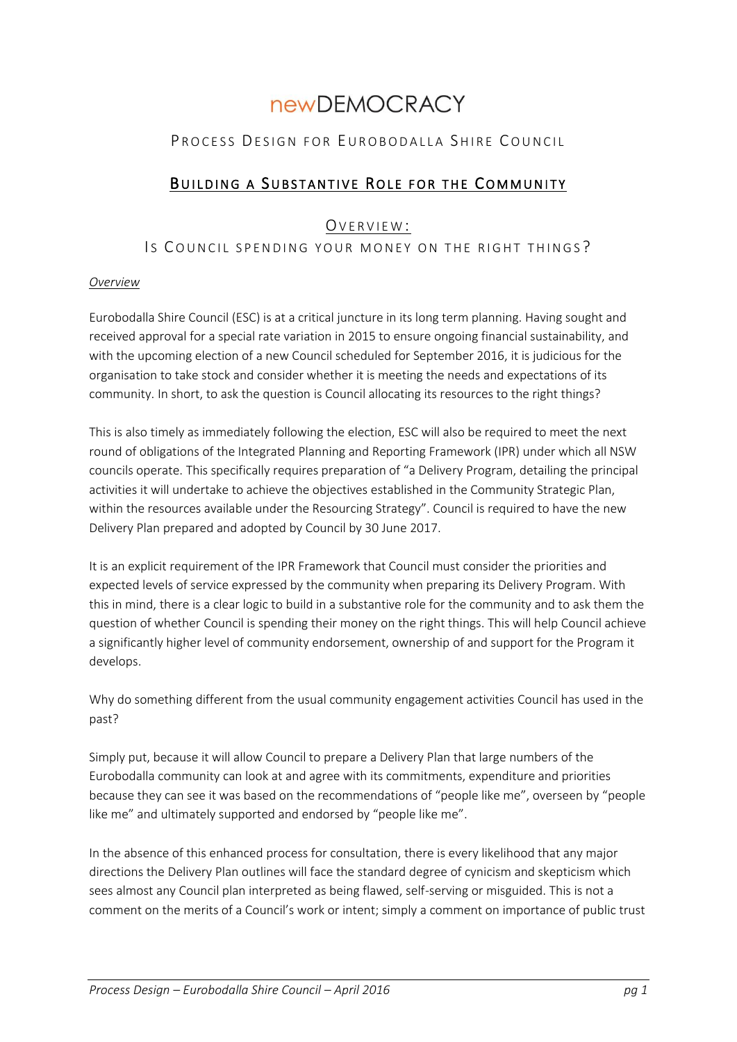# **newDEMOCRACY**

# PROCESS DESIGN FOR EUROBODALLA SHIRE COUNCIL

# BUILDING A SUBSTANTIVE ROLE FOR THE COMMUNITY

## OVERVIEW:

## Is COUNCIL SPENDING YOUR MONEY ON THE RIGHT THINGS?

#### *Overview*

Eurobodalla Shire Council (ESC) is at a critical juncture in its long term planning. Having sought and received approval for a special rate variation in 2015 to ensure ongoing financial sustainability, and with the upcoming election of a new Council scheduled for September 2016, it is judicious for the organisation to take stock and consider whether it is meeting the needs and expectations of its community. In short, to ask the question is Council allocating its resources to the right things?

This is also timely as immediately following the election, ESC will also be required to meet the next round of obligations of the Integrated Planning and Reporting Framework (IPR) under which all NSW councils operate. This specifically requires preparation of "a Delivery Program, detailing the principal activities it will undertake to achieve the objectives established in the Community Strategic Plan, within the resources available under the Resourcing Strategy". Council is required to have the new Delivery Plan prepared and adopted by Council by 30 June 2017.

It is an explicit requirement of the IPR Framework that Council must consider the priorities and expected levels of service expressed by the community when preparing its Delivery Program. With this in mind, there is a clear logic to build in a substantive role for the community and to ask them the question of whether Council is spending their money on the right things. This will help Council achieve a significantly higher level of community endorsement, ownership of and support for the Program it develops.

Why do something different from the usual community engagement activities Council has used in the past?

Simply put, because it will allow Council to prepare a Delivery Plan that large numbers of the Eurobodalla community can look at and agree with its commitments, expenditure and priorities because they can see it was based on the recommendations of "people like me", overseen by "people like me" and ultimately supported and endorsed by "people like me".

In the absence of this enhanced process for consultation, there is every likelihood that any major directions the Delivery Plan outlines will face the standard degree of cynicism and skepticism which sees almost any Council plan interpreted as being flawed, self-serving or misguided. This is not a comment on the merits of a Council's work or intent; simply a comment on importance of public trust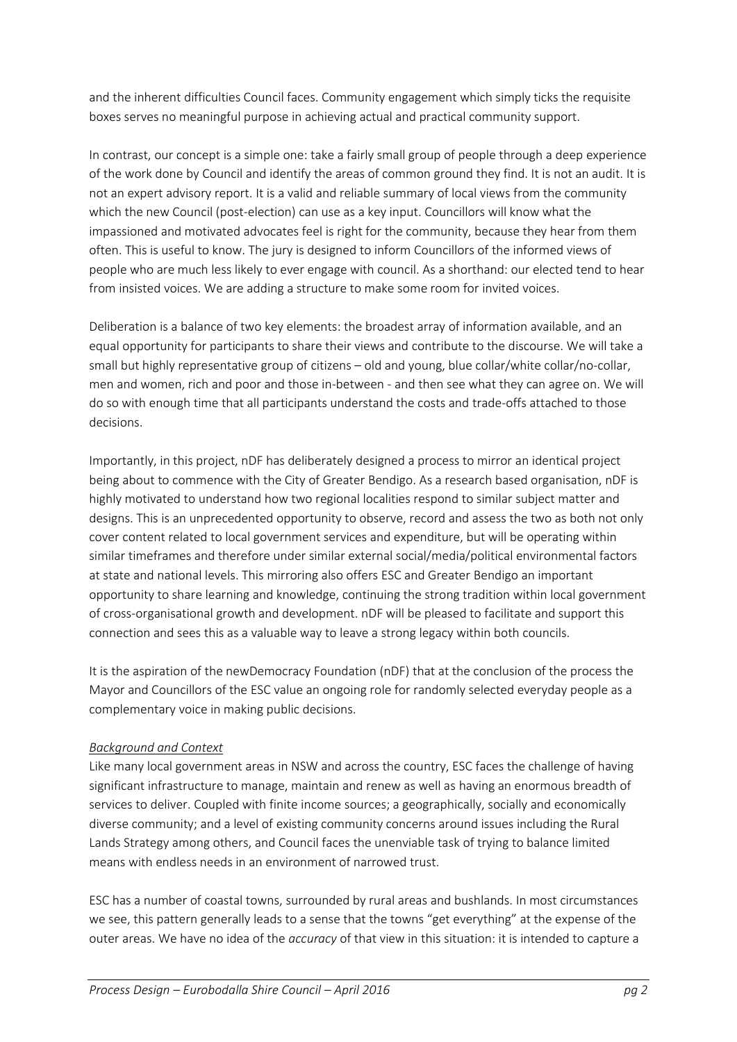and the inherent difficulties Council faces. Community engagement which simply ticks the requisite boxes serves no meaningful purpose in achieving actual and practical community support.

In contrast, our concept is a simple one: take a fairly small group of people through a deep experience of the work done by Council and identify the areas of common ground they find. It is not an audit. It is not an expert advisory report. It is a valid and reliable summary of local views from the community which the new Council (post-election) can use as a key input. Councillors will know what the impassioned and motivated advocates feel is right for the community, because they hear from them often. This is useful to know. The jury is designed to inform Councillors of the informed views of people who are much less likely to ever engage with council. As a shorthand: our elected tend to hear from insisted voices. We are adding a structure to make some room for invited voices.

Deliberation is a balance of two key elements: the broadest array of information available, and an equal opportunity for participants to share their views and contribute to the discourse. We will take a small but highly representative group of citizens – old and young, blue collar/white collar/no-collar, men and women, rich and poor and those in-between - and then see what they can agree on. We will do so with enough time that all participants understand the costs and trade-offs attached to those decisions.

Importantly, in this project, nDF has deliberately designed a process to mirror an identical project being about to commence with the City of Greater Bendigo. As a research based organisation, nDF is highly motivated to understand how two regional localities respond to similar subject matter and designs. This is an unprecedented opportunity to observe, record and assess the two as both not only cover content related to local government services and expenditure, but will be operating within similar timeframes and therefore under similar external social/media/political environmental factors at state and national levels. This mirroring also offers ESC and Greater Bendigo an important opportunity to share learning and knowledge, continuing the strong tradition within local government of cross-organisational growth and development. nDF will be pleased to facilitate and support this connection and sees this as a valuable way to leave a strong legacy within both councils.

It is the aspiration of the newDemocracy Foundation (nDF) that at the conclusion of the process the Mayor and Councillors of the ESC value an ongoing role for randomly selected everyday people as a complementary voice in making public decisions.

## *Background and Context*

Like many local government areas in NSW and across the country, ESC faces the challenge of having significant infrastructure to manage, maintain and renew as well as having an enormous breadth of services to deliver. Coupled with finite income sources; a geographically, socially and economically diverse community; and a level of existing community concerns around issues including the Rural Lands Strategy among others, and Council faces the unenviable task of trying to balance limited means with endless needs in an environment of narrowed trust.

ESC has a number of coastal towns, surrounded by rural areas and bushlands. In most circumstances we see, this pattern generally leads to a sense that the towns "get everything" at the expense of the outer areas. We have no idea of the *accuracy* of that view in this situation: it is intended to capture a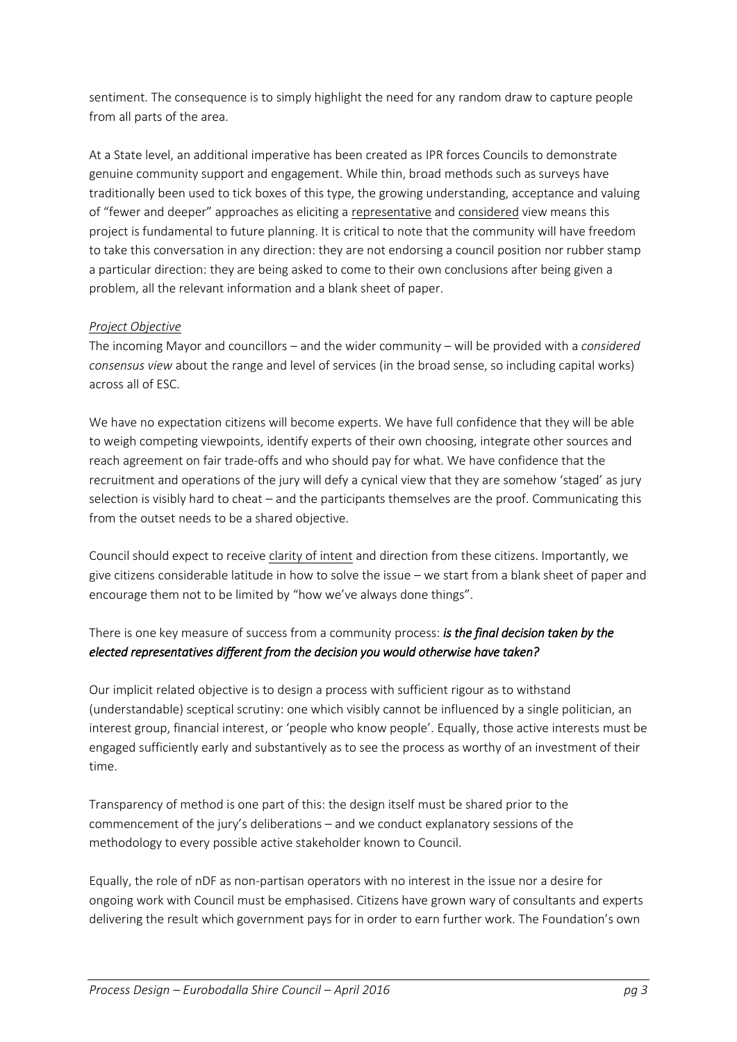sentiment. The consequence is to simply highlight the need for any random draw to capture people from all parts of the area.

At a State level, an additional imperative has been created as IPR forces Councils to demonstrate genuine community support and engagement. While thin, broad methods such as surveys have traditionally been used to tick boxes of this type, the growing understanding, acceptance and valuing of "fewer and deeper" approaches as eliciting a representative and considered view means this project is fundamental to future planning. It is critical to note that the community will have freedom to take this conversation in any direction: they are not endorsing a council position nor rubber stamp a particular direction: they are being asked to come to their own conclusions after being given a problem, all the relevant information and a blank sheet of paper.

## *Project Objective*

The incoming Mayor and councillors – and the wider community – will be provided with a *considered consensus view* about the range and level of services (in the broad sense, so including capital works) across all of ESC.

We have no expectation citizens will become experts. We have full confidence that they will be able to weigh competing viewpoints, identify experts of their own choosing, integrate other sources and reach agreement on fair trade-offs and who should pay for what. We have confidence that the recruitment and operations of the jury will defy a cynical view that they are somehow 'staged' as jury selection is visibly hard to cheat – and the participants themselves are the proof. Communicating this from the outset needs to be a shared objective.

Council should expect to receive clarity of intent and direction from these citizens. Importantly, we give citizens considerable latitude in how to solve the issue – we start from a blank sheet of paper and encourage them not to be limited by "how we've always done things".

## There is one key measure of success from a community process: *is the final decision taken by the elected representatives different from the decision you would otherwise have taken?*

Our implicit related objective is to design a process with sufficient rigour as to withstand (understandable) sceptical scrutiny: one which visibly cannot be influenced by a single politician, an interest group, financial interest, or 'people who know people'. Equally, those active interests must be engaged sufficiently early and substantively as to see the process as worthy of an investment of their time.

Transparency of method is one part of this: the design itself must be shared prior to the commencement of the jury's deliberations – and we conduct explanatory sessions of the methodology to every possible active stakeholder known to Council.

Equally, the role of nDF as non-partisan operators with no interest in the issue nor a desire for ongoing work with Council must be emphasised. Citizens have grown wary of consultants and experts delivering the result which government pays for in order to earn further work. The Foundation's own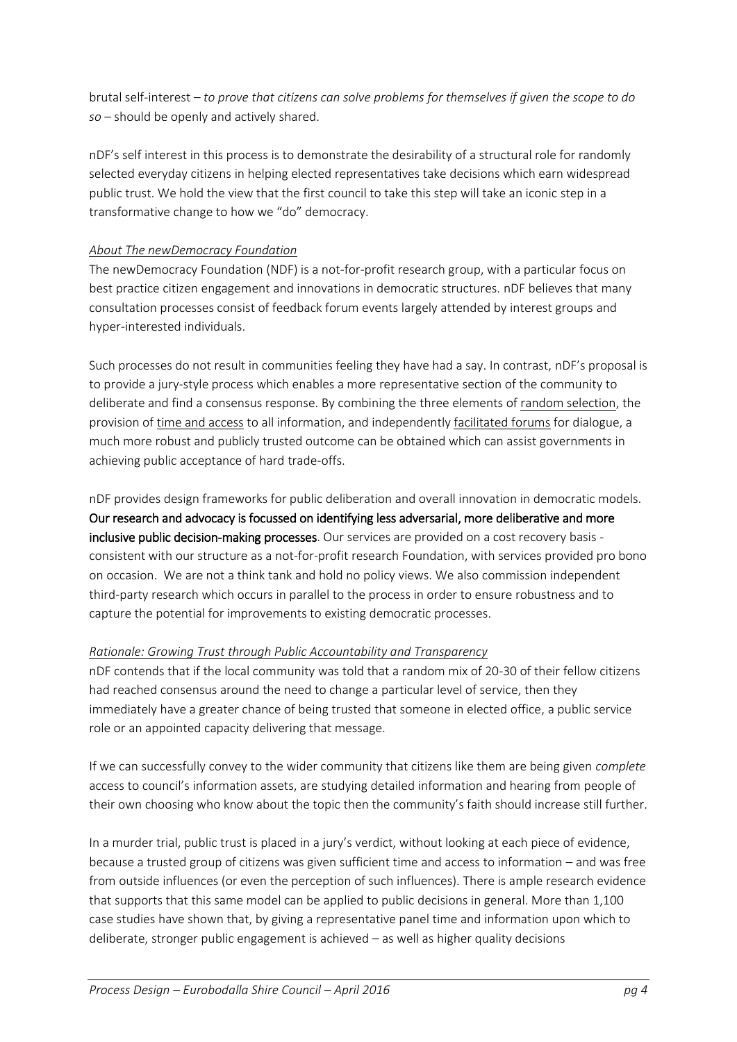brutal self-interest – *to prove that citizens can solve problems for themselves if given the scope to do so* – should be openly and actively shared.

nDF's self interest in this process is to demonstrate the desirability of a structural role for randomly selected everyday citizens in helping elected representatives take decisions which earn widespread public trust. We hold the view that the first council to take this step will take an iconic step in a transformative change to how we "do" democracy.

## *About The newDemocracy Foundation*

The newDemocracy Foundation (NDF) is a not-for-profit research group, with a particular focus on best practice citizen engagement and innovations in democratic structures. nDF believes that many consultation processes consist of feedback forum events largely attended by interest groups and hyper-interested individuals.

Such processes do not result in communities feeling they have had a say. In contrast, nDF's proposal is to provide a jury-style process which enables a more representative section of the community to deliberate and find a consensus response. By combining the three elements of random selection, the provision of time and access to all information, and independently facilitated forums for dialogue, a much more robust and publicly trusted outcome can be obtained which can assist governments in achieving public acceptance of hard trade-offs.

nDF provides design frameworks for public deliberation and overall innovation in democratic models. Our research and advocacy is focussed on identifying less adversarial, more deliberative and more inclusive public decision-making processes. Our services are provided on a cost recovery basis consistent with our structure as a not-for-profit research Foundation, with services provided pro bono on occasion. We are not a think tank and hold no policy views. We also commission independent third-party research which occurs in parallel to the process in order to ensure robustness and to capture the potential for improvements to existing democratic processes.

## *Rationale: Growing Trust through Public Accountability and Transparency*

nDF contends that if the local community was told that a random mix of 20-30 of their fellow citizens had reached consensus around the need to change a particular level of service, then they immediately have a greater chance of being trusted that someone in elected office, a public service role or an appointed capacity delivering that message.

If we can successfully convey to the wider community that citizens like them are being given *complete* access to council's information assets, are studying detailed information and hearing from people of their own choosing who know about the topic then the community's faith should increase still further.

In a murder trial, public trust is placed in a jury's verdict, without looking at each piece of evidence, because a trusted group of citizens was given sufficient time and access to information – and was free from outside influences (or even the perception of such influences). There is ample research evidence that supports that this same model can be applied to public decisions in general. More than 1,100 case studies have shown that, by giving a representative panel time and information upon which to deliberate, stronger public engagement is achieved – as well as higher quality decisions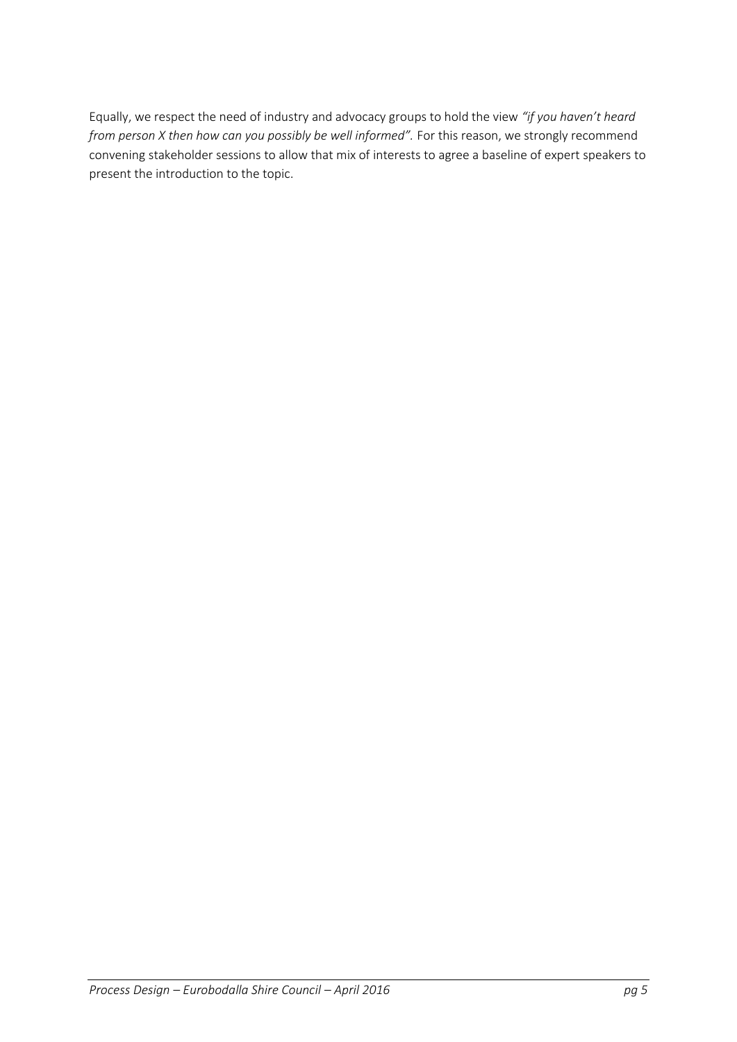Equally, we respect the need of industry and advocacy groups to hold the view *"if you haven't heard from person X then how can you possibly be well informed".* For this reason, we strongly recommend convening stakeholder sessions to allow that mix of interests to agree a baseline of expert speakers to present the introduction to the topic.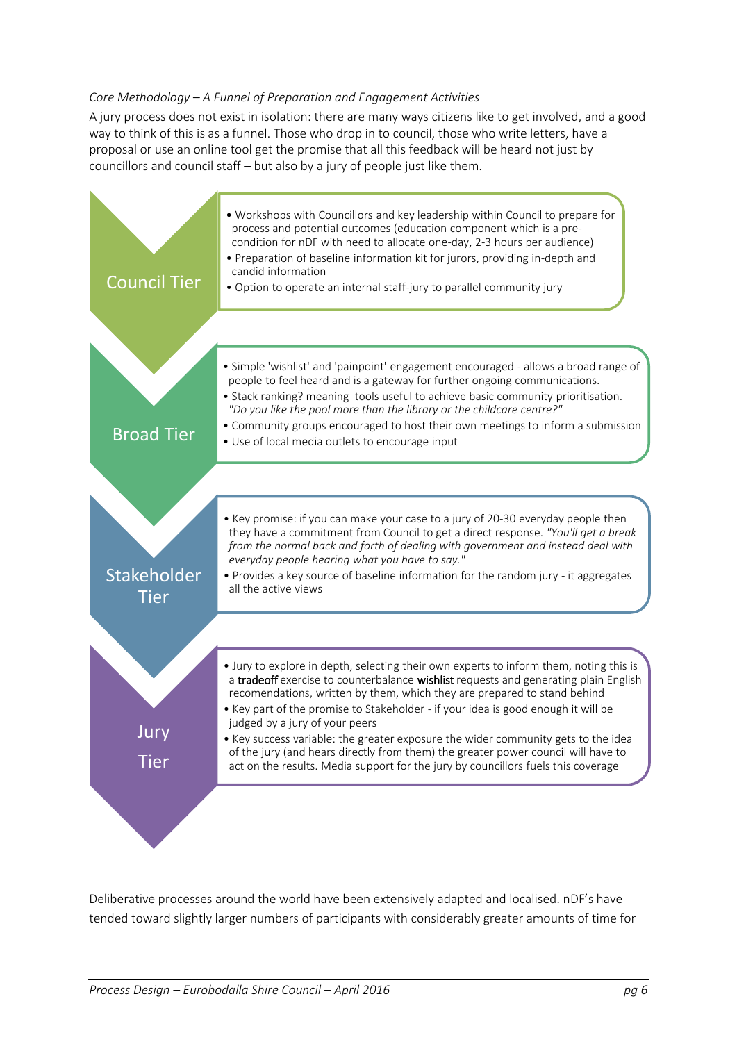#### *Core Methodology – A Funnel of Preparation and Engagement Activities*

A jury process does not exist in isolation: there are many ways citizens like to get involved, and a good way to think of this is as a funnel. Those who drop in to council, those who write letters, have a proposal or use an online tool get the promise that all this feedback will be heard not just by councillors and council staff – but also by a jury of people just like them.



Deliberative processes around the world have been extensively adapted and localised. nDF's have tended toward slightly larger numbers of participants with considerably greater amounts of time for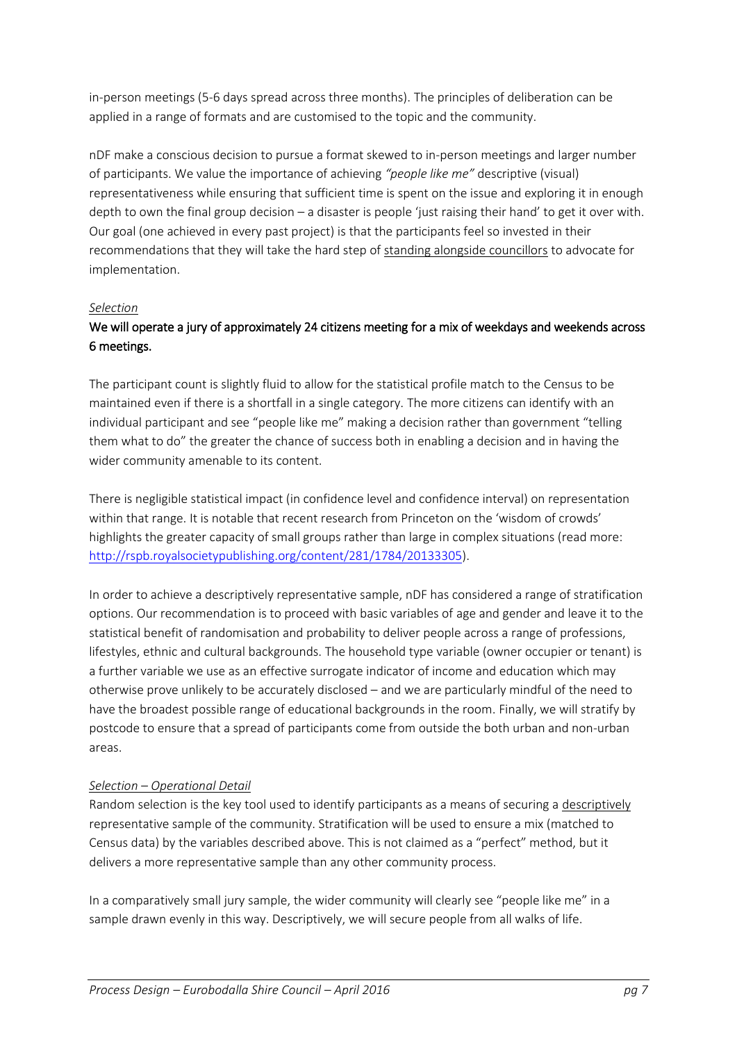in-person meetings (5-6 days spread across three months). The principles of deliberation can be applied in a range of formats and are customised to the topic and the community.

nDF make a conscious decision to pursue a format skewed to in-person meetings and larger number of participants. We value the importance of achieving *"people like me"* descriptive (visual) representativeness while ensuring that sufficient time is spent on the issue and exploring it in enough depth to own the final group decision – a disaster is people 'just raising their hand' to get it over with. Our goal (one achieved in every past project) is that the participants feel so invested in their recommendations that they will take the hard step of standing alongside councillors to advocate for implementation.

#### *Selection*

## We will operate a jury of approximately 24 citizens meeting for a mix of weekdays and weekends across 6 meetings.

The participant count is slightly fluid to allow for the statistical profile match to the Census to be maintained even if there is a shortfall in a single category. The more citizens can identify with an individual participant and see "people like me" making a decision rather than government "telling them what to do" the greater the chance of success both in enabling a decision and in having the wider community amenable to its content.

There is negligible statistical impact (in confidence level and confidence interval) on representation within that range. It is notable that recent research from Princeton on the 'wisdom of crowds' highlights the greater capacity of small groups rather than large in complex situations (read more: [http://rspb.royalsocietypublishing.org/content/281/1784/20133305\)](http://rspb.royalsocietypublishing.org/content/281/1784/20133305).

In order to achieve a descriptively representative sample, nDF has considered a range of stratification options. Our recommendation is to proceed with basic variables of age and gender and leave it to the statistical benefit of randomisation and probability to deliver people across a range of professions, lifestyles, ethnic and cultural backgrounds. The household type variable (owner occupier or tenant) is a further variable we use as an effective surrogate indicator of income and education which may otherwise prove unlikely to be accurately disclosed – and we are particularly mindful of the need to have the broadest possible range of educational backgrounds in the room. Finally, we will stratify by postcode to ensure that a spread of participants come from outside the both urban and non-urban areas.

#### *Selection – Operational Detail*

Random selection is the key tool used to identify participants as a means of securing a descriptively representative sample of the community. Stratification will be used to ensure a mix (matched to Census data) by the variables described above. This is not claimed as a "perfect" method, but it delivers a more representative sample than any other community process.

In a comparatively small jury sample, the wider community will clearly see "people like me" in a sample drawn evenly in this way. Descriptively, we will secure people from all walks of life.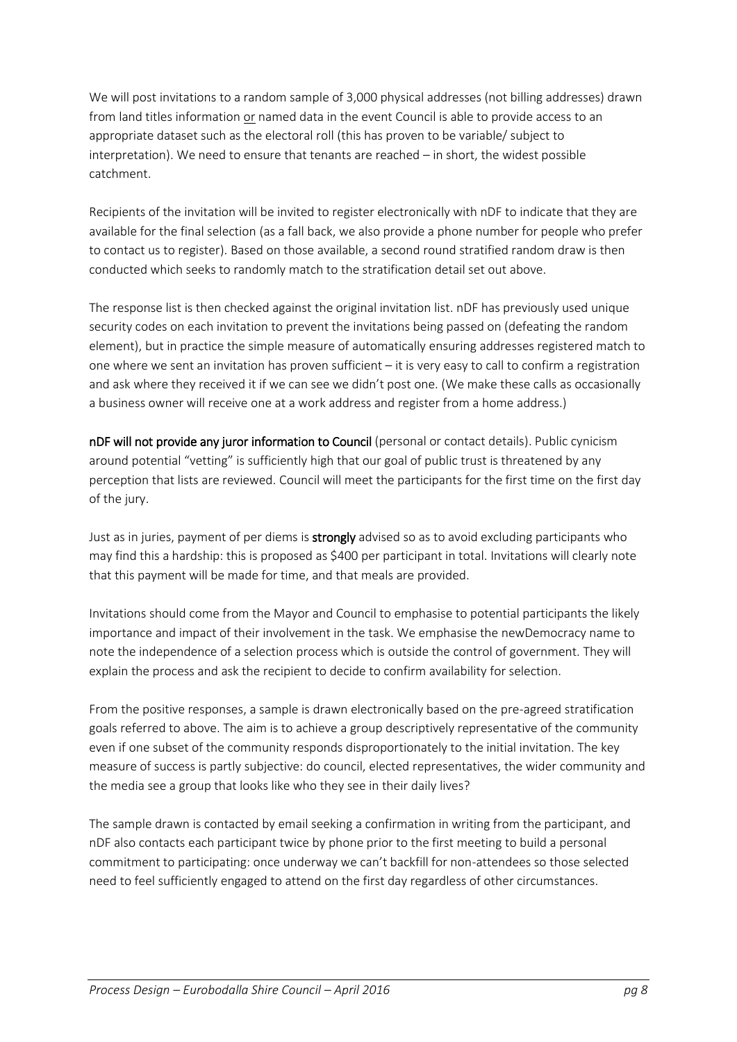We will post invitations to a random sample of 3,000 physical addresses (not billing addresses) drawn from land titles information or named data in the event Council is able to provide access to an appropriate dataset such as the electoral roll (this has proven to be variable/ subject to interpretation). We need to ensure that tenants are reached – in short, the widest possible catchment.

Recipients of the invitation will be invited to register electronically with nDF to indicate that they are available for the final selection (as a fall back, we also provide a phone number for people who prefer to contact us to register). Based on those available, a second round stratified random draw is then conducted which seeks to randomly match to the stratification detail set out above.

The response list is then checked against the original invitation list. nDF has previously used unique security codes on each invitation to prevent the invitations being passed on (defeating the random element), but in practice the simple measure of automatically ensuring addresses registered match to one where we sent an invitation has proven sufficient – it is very easy to call to confirm a registration and ask where they received it if we can see we didn't post one. (We make these calls as occasionally a business owner will receive one at a work address and register from a home address.)

nDF will not provide any juror information to Council (personal or contact details). Public cynicism around potential "vetting" is sufficiently high that our goal of public trust is threatened by any perception that lists are reviewed. Council will meet the participants for the first time on the first day of the jury.

Just as in juries, payment of per diems is **strongly** advised so as to avoid excluding participants who may find this a hardship: this is proposed as \$400 per participant in total. Invitations will clearly note that this payment will be made for time, and that meals are provided.

Invitations should come from the Mayor and Council to emphasise to potential participants the likely importance and impact of their involvement in the task. We emphasise the newDemocracy name to note the independence of a selection process which is outside the control of government. They will explain the process and ask the recipient to decide to confirm availability for selection.

From the positive responses, a sample is drawn electronically based on the pre-agreed stratification goals referred to above. The aim is to achieve a group descriptively representative of the community even if one subset of the community responds disproportionately to the initial invitation. The key measure of success is partly subjective: do council, elected representatives, the wider community and the media see a group that looks like who they see in their daily lives?

The sample drawn is contacted by email seeking a confirmation in writing from the participant, and nDF also contacts each participant twice by phone prior to the first meeting to build a personal commitment to participating: once underway we can't backfill for non-attendees so those selected need to feel sufficiently engaged to attend on the first day regardless of other circumstances.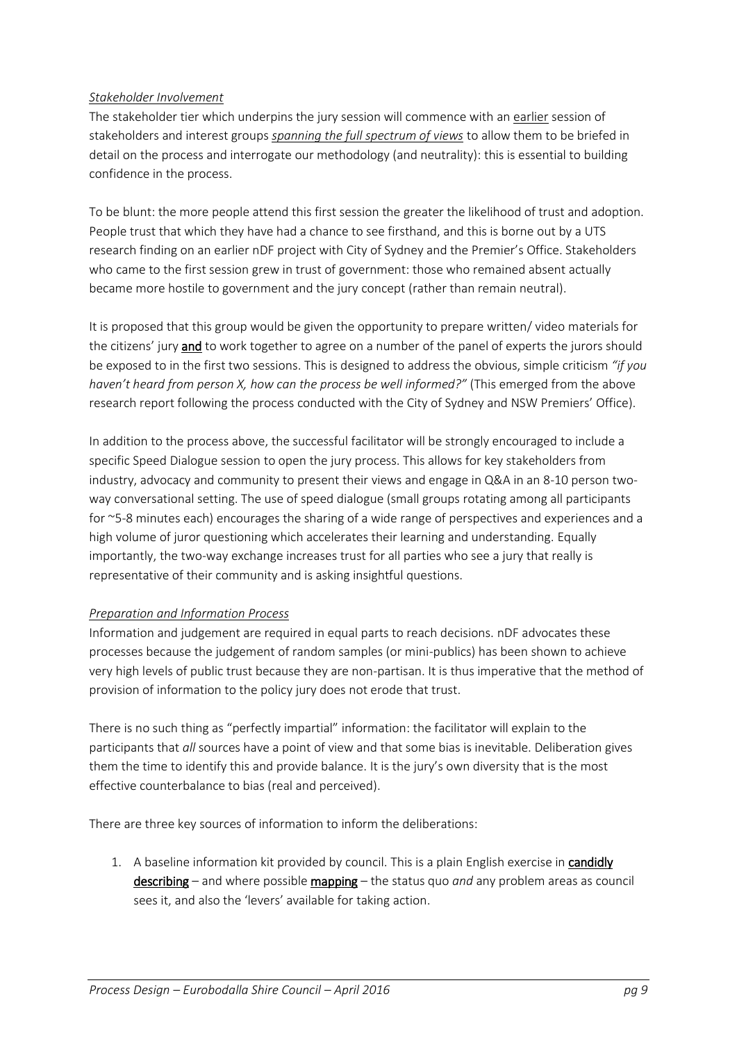#### *Stakeholder Involvement*

The stakeholder tier which underpins the jury session will commence with an earlier session of stakeholders and interest groups *spanning the full spectrum of views* to allow them to be briefed in detail on the process and interrogate our methodology (and neutrality): this is essential to building confidence in the process.

To be blunt: the more people attend this first session the greater the likelihood of trust and adoption. People trust that which they have had a chance to see firsthand, and this is borne out by a UTS research finding on an earlier nDF project with City of Sydney and the Premier's Office. Stakeholders who came to the first session grew in trust of government: those who remained absent actually became more hostile to government and the jury concept (rather than remain neutral).

It is proposed that this group would be given the opportunity to prepare written/ video materials for the citizens' jury and to work together to agree on a number of the panel of experts the jurors should be exposed to in the first two sessions. This is designed to address the obvious, simple criticism *"if you haven't heard from person X, how can the process be well informed?"* (This emerged from the above research report following the process conducted with the City of Sydney and NSW Premiers' Office).

In addition to the process above, the successful facilitator will be strongly encouraged to include a specific Speed Dialogue session to open the jury process. This allows for key stakeholders from industry, advocacy and community to present their views and engage in Q&A in an 8-10 person twoway conversational setting. The use of speed dialogue (small groups rotating among all participants for ~5-8 minutes each) encourages the sharing of a wide range of perspectives and experiences and a high volume of juror questioning which accelerates their learning and understanding. Equally importantly, the two-way exchange increases trust for all parties who see a jury that really is representative of their community and is asking insightful questions.

## *Preparation and Information Process*

Information and judgement are required in equal parts to reach decisions. nDF advocates these processes because the judgement of random samples (or mini-publics) has been shown to achieve very high levels of public trust because they are non-partisan. It is thus imperative that the method of provision of information to the policy jury does not erode that trust.

There is no such thing as "perfectly impartial" information: the facilitator will explain to the participants that *all* sources have a point of view and that some bias is inevitable. Deliberation gives them the time to identify this and provide balance. It is the jury's own diversity that is the most effective counterbalance to bias (real and perceived).

There are three key sources of information to inform the deliberations:

1. A baseline information kit provided by council. This is a plain English exercise in candidly describing – and where possible mapping – the status quo *and* any problem areas as council sees it, and also the 'levers' available for taking action.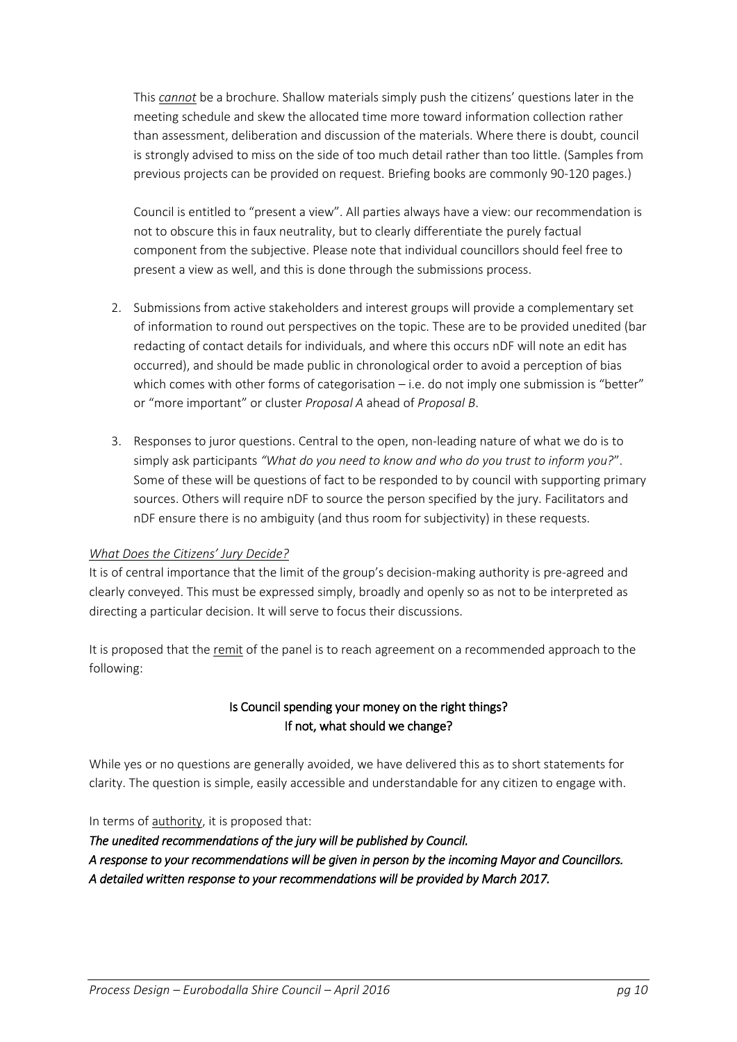This *cannot* be a brochure. Shallow materials simply push the citizens' questions later in the meeting schedule and skew the allocated time more toward information collection rather than assessment, deliberation and discussion of the materials. Where there is doubt, council is strongly advised to miss on the side of too much detail rather than too little. (Samples from previous projects can be provided on request. Briefing books are commonly 90-120 pages.)

Council is entitled to "present a view". All parties always have a view: our recommendation is not to obscure this in faux neutrality, but to clearly differentiate the purely factual component from the subjective. Please note that individual councillors should feel free to present a view as well, and this is done through the submissions process.

- 2. Submissions from active stakeholders and interest groups will provide a complementary set of information to round out perspectives on the topic. These are to be provided unedited (bar redacting of contact details for individuals, and where this occurs nDF will note an edit has occurred), and should be made public in chronological order to avoid a perception of bias which comes with other forms of categorisation – i.e. do not imply one submission is "better" or "more important" or cluster *Proposal A* ahead of *Proposal B*.
- 3. Responses to juror questions. Central to the open, non-leading nature of what we do is to simply ask participants *"What do you need to know and who do you trust to inform you?*". Some of these will be questions of fact to be responded to by council with supporting primary sources. Others will require nDF to source the person specified by the jury. Facilitators and nDF ensure there is no ambiguity (and thus room for subjectivity) in these requests.

#### *What Does the Citizens' Jury Decide?*

It is of central importance that the limit of the group's decision-making authority is pre-agreed and clearly conveyed. This must be expressed simply, broadly and openly so as not to be interpreted as directing a particular decision. It will serve to focus their discussions.

It is proposed that the remit of the panel is to reach agreement on a recommended approach to the following:

## Is Council spending your money on the right things? If not, what should we change?

While yes or no questions are generally avoided, we have delivered this as to short statements for clarity. The question is simple, easily accessible and understandable for any citizen to engage with.

In terms of authority, it is proposed that:

*The unedited recommendations of the jury will be published by Council. A response to your recommendations will be given in person by the incoming Mayor and Councillors. A detailed written response to your recommendations will be provided by March 2017.*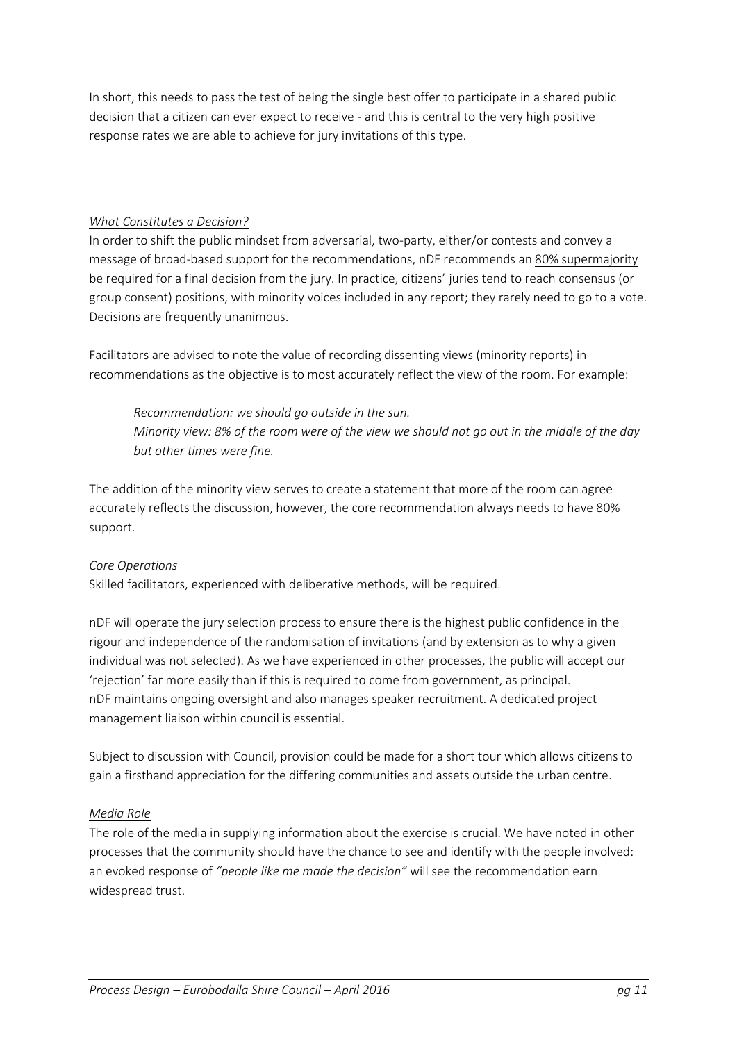In short, this needs to pass the test of being the single best offer to participate in a shared public decision that a citizen can ever expect to receive - and this is central to the very high positive response rates we are able to achieve for jury invitations of this type.

#### *What Constitutes a Decision?*

In order to shift the public mindset from adversarial, two-party, either/or contests and convey a message of broad-based support for the recommendations, nDF recommends an 80% supermajority be required for a final decision from the jury. In practice, citizens' juries tend to reach consensus (or group consent) positions, with minority voices included in any report; they rarely need to go to a vote. Decisions are frequently unanimous.

Facilitators are advised to note the value of recording dissenting views (minority reports) in recommendations as the objective is to most accurately reflect the view of the room. For example:

*Recommendation: we should go outside in the sun. Minority view: 8% of the room were of the view we should not go out in the middle of the day but other times were fine.*

The addition of the minority view serves to create a statement that more of the room can agree accurately reflects the discussion, however, the core recommendation always needs to have 80% support.

## *Core Operations*

Skilled facilitators, experienced with deliberative methods, will be required.

nDF will operate the jury selection process to ensure there is the highest public confidence in the rigour and independence of the randomisation of invitations (and by extension as to why a given individual was not selected). As we have experienced in other processes, the public will accept our 'rejection' far more easily than if this is required to come from government, as principal. nDF maintains ongoing oversight and also manages speaker recruitment. A dedicated project management liaison within council is essential.

Subject to discussion with Council, provision could be made for a short tour which allows citizens to gain a firsthand appreciation for the differing communities and assets outside the urban centre.

#### *Media Role*

The role of the media in supplying information about the exercise is crucial. We have noted in other processes that the community should have the chance to see and identify with the people involved: an evoked response of *"people like me made the decision"* will see the recommendation earn widespread trust.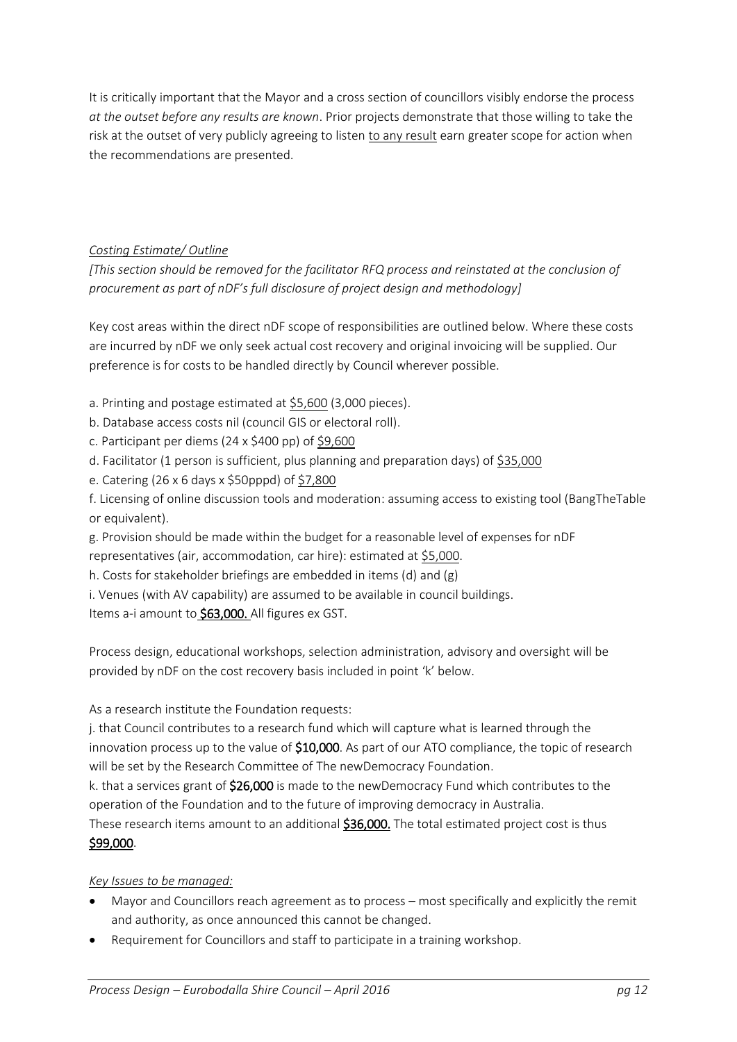It is critically important that the Mayor and a cross section of councillors visibly endorse the process *at the outset before any results are known*. Prior projects demonstrate that those willing to take the risk at the outset of very publicly agreeing to listen to any result earn greater scope for action when the recommendations are presented.

## *Costing Estimate/ Outline*

*[This section should be removed for the facilitator RFQ process and reinstated at the conclusion of procurement as part of nDF's full disclosure of project design and methodology]*

Key cost areas within the direct nDF scope of responsibilities are outlined below. Where these costs are incurred by nDF we only seek actual cost recovery and original invoicing will be supplied. Our preference is for costs to be handled directly by Council wherever possible.

- a. Printing and postage estimated at \$5,600 (3,000 pieces).
- b. Database access costs nil (council GIS or electoral roll).
- c. Participant per diems (24 x \$400 pp) of \$9,600
- d. Facilitator (1 person is sufficient, plus planning and preparation days) of \$35,000
- e. Catering (26 x 6 days x \$50pppd) of \$7,800
- f. Licensing of online discussion tools and moderation: assuming access to existing tool (BangTheTable or equivalent).
- g. Provision should be made within the budget for a reasonable level of expenses for nDF representatives (air, accommodation, car hire): estimated at \$5,000.
- h. Costs for stakeholder briefings are embedded in items (d) and (g)
- i. Venues (with AV capability) are assumed to be available in council buildings.

Items a-i amount to \$63,000. All figures ex GST.

Process design, educational workshops, selection administration, advisory and oversight will be provided by nDF on the cost recovery basis included in point 'k' below.

#### As a research institute the Foundation requests:

j. that Council contributes to a research fund which will capture what is learned through the innovation process up to the value of \$10,000. As part of our ATO compliance, the topic of research will be set by the Research Committee of The newDemocracy Foundation.

k. that a services grant of \$26,000 is made to the newDemocracy Fund which contributes to the operation of the Foundation and to the future of improving democracy in Australia.

These research items amount to an additional \$36,000. The total estimated project cost is thus \$99,000.

## *Key Issues to be managed:*

- Mayor and Councillors reach agreement as to process most specifically and explicitly the remit and authority, as once announced this cannot be changed.
- Requirement for Councillors and staff to participate in a training workshop.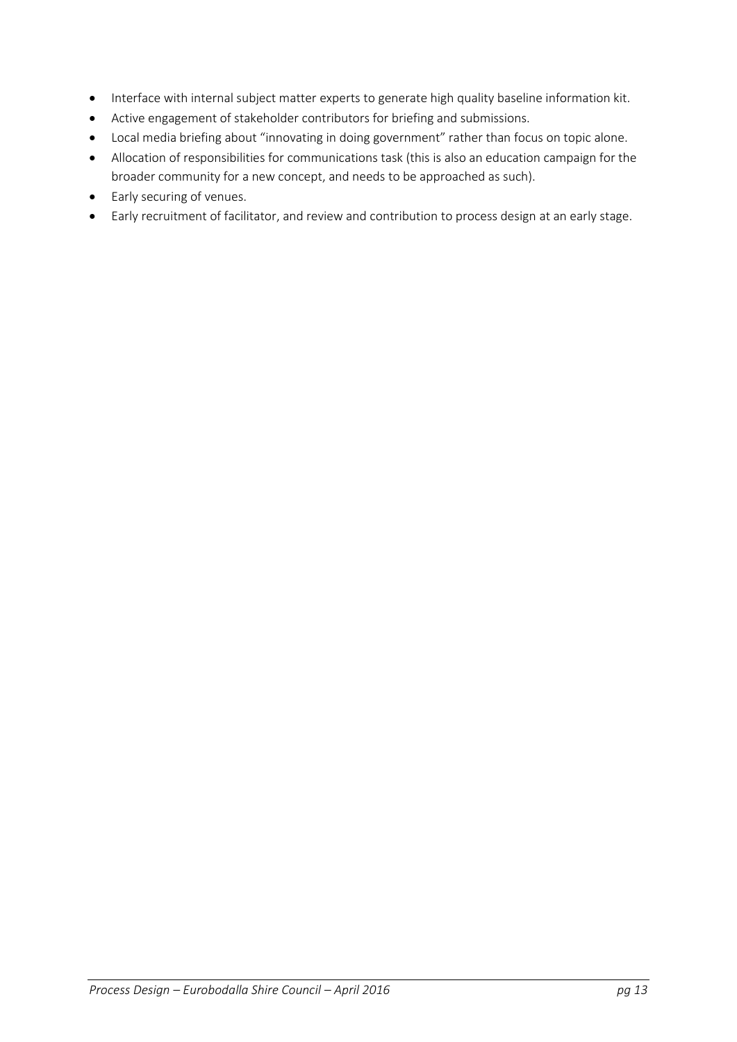- Interface with internal subject matter experts to generate high quality baseline information kit.
- Active engagement of stakeholder contributors for briefing and submissions.
- Local media briefing about "innovating in doing government" rather than focus on topic alone.
- Allocation of responsibilities for communications task (this is also an education campaign for the broader community for a new concept, and needs to be approached as such).
- Early securing of venues.
- Early recruitment of facilitator, and review and contribution to process design at an early stage.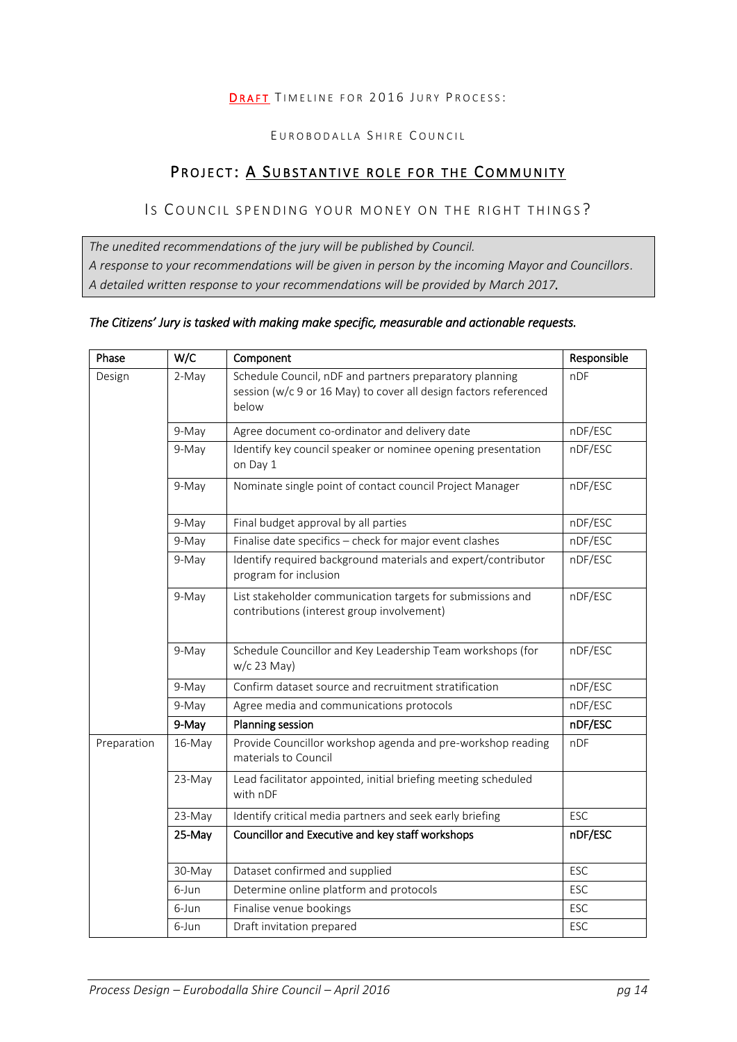#### DRAFT TIMELINE FOR 2016 JURY PROCESS:

#### EUROBODALLA SHIRE COUNCIL

# PROJECT: A SUBSTANTIVE ROLE FOR THE COMMUNITY

## Is COUNCIL SPENDING YOUR MONEY ON THE RIGHT THINGS?

*The unedited recommendations of the jury will be published by Council. A response to your recommendations will be given in person by the incoming Mayor and Councillors. A detailed written response to your recommendations will be provided by March 2017.* 

#### *The Citizens' Jury is tasked with making make specific, measurable and actionable requests.*

| Phase       | W/C    | Component                                                                                                                            | Responsible |
|-------------|--------|--------------------------------------------------------------------------------------------------------------------------------------|-------------|
| Design      | 2-May  | Schedule Council, nDF and partners preparatory planning<br>session (w/c 9 or 16 May) to cover all design factors referenced<br>below | nDF         |
|             | 9-May  | Agree document co-ordinator and delivery date                                                                                        | nDF/ESC     |
|             | 9-May  | Identify key council speaker or nominee opening presentation<br>on Day 1                                                             | nDF/ESC     |
|             | 9-May  | Nominate single point of contact council Project Manager                                                                             | nDF/ESC     |
|             | 9-May  | Final budget approval by all parties                                                                                                 | nDF/ESC     |
|             | 9-May  | Finalise date specifics - check for major event clashes                                                                              | nDF/ESC     |
|             | 9-May  | Identify required background materials and expert/contributor<br>program for inclusion                                               | nDF/ESC     |
|             | 9-May  | List stakeholder communication targets for submissions and<br>contributions (interest group involvement)                             | nDF/ESC     |
|             | 9-May  | Schedule Councillor and Key Leadership Team workshops (for<br>w/c 23 May)                                                            | nDF/ESC     |
|             | 9-May  | Confirm dataset source and recruitment stratification                                                                                | nDF/ESC     |
|             | 9-May  | Agree media and communications protocols                                                                                             | nDF/ESC     |
|             | 9-May  | <b>Planning session</b>                                                                                                              | nDF/ESC     |
| Preparation | 16-May | Provide Councillor workshop agenda and pre-workshop reading<br>materials to Council                                                  | nDF         |
|             | 23-May | Lead facilitator appointed, initial briefing meeting scheduled<br>with nDF                                                           |             |
|             | 23-May | Identify critical media partners and seek early briefing                                                                             | <b>ESC</b>  |
|             | 25-May | Councillor and Executive and key staff workshops                                                                                     | nDF/ESC     |
|             | 30-May | Dataset confirmed and supplied                                                                                                       | ESC         |
|             | 6-Jun  | Determine online platform and protocols                                                                                              | ESC         |
|             | 6-Jun  | Finalise venue bookings                                                                                                              | ESC         |
|             | 6-Jun  | Draft invitation prepared                                                                                                            | ESC         |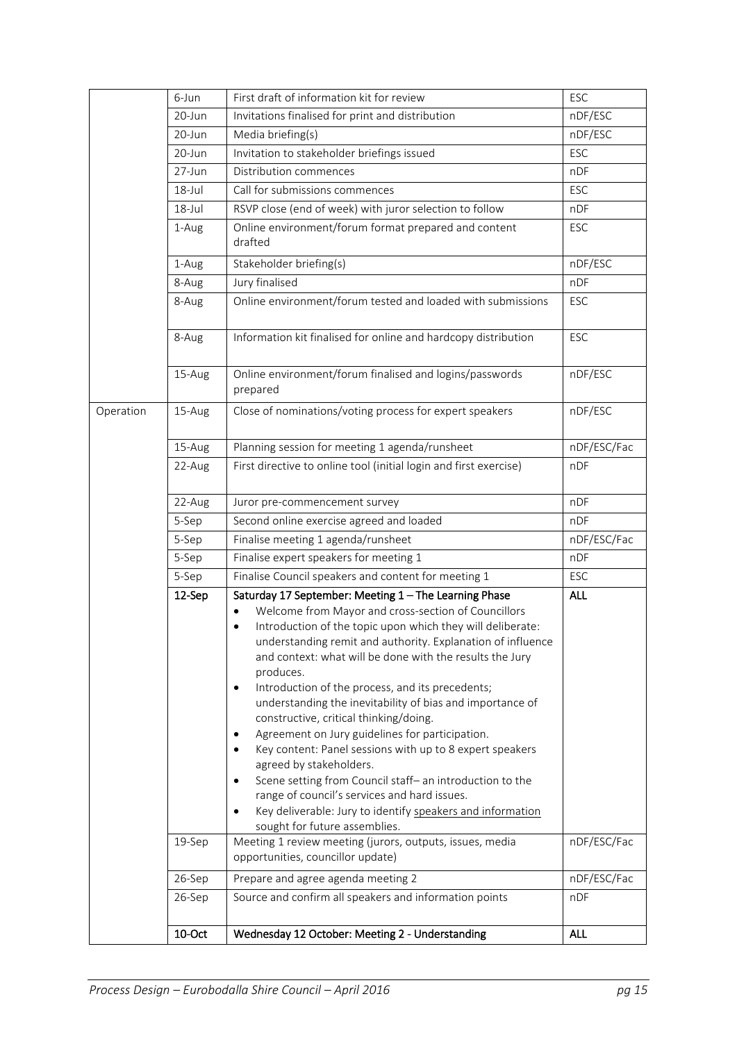|           | 6-Jun      | First draft of information kit for review                                                                                                                                                                                                                                                                                                                                                                                                                                                                                                                                                                                                                                                                                                                                                                                                                                                             | ESC         |
|-----------|------------|-------------------------------------------------------------------------------------------------------------------------------------------------------------------------------------------------------------------------------------------------------------------------------------------------------------------------------------------------------------------------------------------------------------------------------------------------------------------------------------------------------------------------------------------------------------------------------------------------------------------------------------------------------------------------------------------------------------------------------------------------------------------------------------------------------------------------------------------------------------------------------------------------------|-------------|
|           | 20-Jun     | Invitations finalised for print and distribution                                                                                                                                                                                                                                                                                                                                                                                                                                                                                                                                                                                                                                                                                                                                                                                                                                                      | nDF/ESC     |
|           | 20-Jun     | Media briefing(s)                                                                                                                                                                                                                                                                                                                                                                                                                                                                                                                                                                                                                                                                                                                                                                                                                                                                                     | nDF/ESC     |
|           | 20-Jun     | Invitation to stakeholder briefings issued                                                                                                                                                                                                                                                                                                                                                                                                                                                                                                                                                                                                                                                                                                                                                                                                                                                            | ESC         |
|           | 27-Jun     | Distribution commences                                                                                                                                                                                                                                                                                                                                                                                                                                                                                                                                                                                                                                                                                                                                                                                                                                                                                | nDF         |
|           | $18 -$ Jul | Call for submissions commences                                                                                                                                                                                                                                                                                                                                                                                                                                                                                                                                                                                                                                                                                                                                                                                                                                                                        | ESC         |
|           | $18 -$ Jul | RSVP close (end of week) with juror selection to follow                                                                                                                                                                                                                                                                                                                                                                                                                                                                                                                                                                                                                                                                                                                                                                                                                                               | nDF         |
|           | 1-Aug      | Online environment/forum format prepared and content<br>drafted                                                                                                                                                                                                                                                                                                                                                                                                                                                                                                                                                                                                                                                                                                                                                                                                                                       | ESC         |
|           | 1-Aug      | Stakeholder briefing(s)                                                                                                                                                                                                                                                                                                                                                                                                                                                                                                                                                                                                                                                                                                                                                                                                                                                                               | nDF/ESC     |
|           | 8-Aug      | Jury finalised                                                                                                                                                                                                                                                                                                                                                                                                                                                                                                                                                                                                                                                                                                                                                                                                                                                                                        | nDF         |
|           | 8-Aug      | Online environment/forum tested and loaded with submissions                                                                                                                                                                                                                                                                                                                                                                                                                                                                                                                                                                                                                                                                                                                                                                                                                                           | ESC         |
|           | 8-Aug      | Information kit finalised for online and hardcopy distribution                                                                                                                                                                                                                                                                                                                                                                                                                                                                                                                                                                                                                                                                                                                                                                                                                                        | <b>ESC</b>  |
|           | 15-Aug     | Online environment/forum finalised and logins/passwords<br>prepared                                                                                                                                                                                                                                                                                                                                                                                                                                                                                                                                                                                                                                                                                                                                                                                                                                   | nDF/ESC     |
| Operation | 15-Aug     | Close of nominations/voting process for expert speakers                                                                                                                                                                                                                                                                                                                                                                                                                                                                                                                                                                                                                                                                                                                                                                                                                                               | nDF/ESC     |
|           | 15-Aug     | Planning session for meeting 1 agenda/runsheet                                                                                                                                                                                                                                                                                                                                                                                                                                                                                                                                                                                                                                                                                                                                                                                                                                                        | nDF/ESC/Fac |
|           | 22-Aug     | First directive to online tool (initial login and first exercise)                                                                                                                                                                                                                                                                                                                                                                                                                                                                                                                                                                                                                                                                                                                                                                                                                                     | nDF         |
|           | 22-Aug     | Juror pre-commencement survey                                                                                                                                                                                                                                                                                                                                                                                                                                                                                                                                                                                                                                                                                                                                                                                                                                                                         | nDF         |
|           | 5-Sep      | Second online exercise agreed and loaded                                                                                                                                                                                                                                                                                                                                                                                                                                                                                                                                                                                                                                                                                                                                                                                                                                                              | nDF         |
|           | 5-Sep      | Finalise meeting 1 agenda/runsheet                                                                                                                                                                                                                                                                                                                                                                                                                                                                                                                                                                                                                                                                                                                                                                                                                                                                    | nDF/ESC/Fac |
|           | 5-Sep      | Finalise expert speakers for meeting 1                                                                                                                                                                                                                                                                                                                                                                                                                                                                                                                                                                                                                                                                                                                                                                                                                                                                | nDF         |
|           | 5-Sep      | Finalise Council speakers and content for meeting 1                                                                                                                                                                                                                                                                                                                                                                                                                                                                                                                                                                                                                                                                                                                                                                                                                                                   | ESC         |
|           | 12-Sep     | Saturday 17 September: Meeting 1 - The Learning Phase<br>Welcome from Mayor and cross-section of Councillors<br>$\bullet$<br>Introduction of the topic upon which they will deliberate:<br>$\bullet$<br>understanding remit and authority. Explanation of influence<br>and context: what will be done with the results the Jury<br>produces.<br>Introduction of the process, and its precedents;<br>$\bullet$<br>understanding the inevitability of bias and importance of<br>constructive, critical thinking/doing.<br>Agreement on Jury guidelines for participation.<br>٠<br>Key content: Panel sessions with up to 8 expert speakers<br>٠<br>agreed by stakeholders.<br>Scene setting from Council staff- an introduction to the<br>$\bullet$<br>range of council's services and hard issues.<br>Key deliverable: Jury to identify speakers and information<br>٠<br>sought for future assemblies. | <b>ALL</b>  |
|           | 19-Sep     | Meeting 1 review meeting (jurors, outputs, issues, media<br>opportunities, councillor update)                                                                                                                                                                                                                                                                                                                                                                                                                                                                                                                                                                                                                                                                                                                                                                                                         | nDF/ESC/Fac |
|           | 26-Sep     | Prepare and agree agenda meeting 2                                                                                                                                                                                                                                                                                                                                                                                                                                                                                                                                                                                                                                                                                                                                                                                                                                                                    | nDF/ESC/Fac |
|           | 26-Sep     | Source and confirm all speakers and information points                                                                                                                                                                                                                                                                                                                                                                                                                                                                                                                                                                                                                                                                                                                                                                                                                                                | nDF         |
|           | 10-Oct     | Wednesday 12 October: Meeting 2 - Understanding                                                                                                                                                                                                                                                                                                                                                                                                                                                                                                                                                                                                                                                                                                                                                                                                                                                       | <b>ALL</b>  |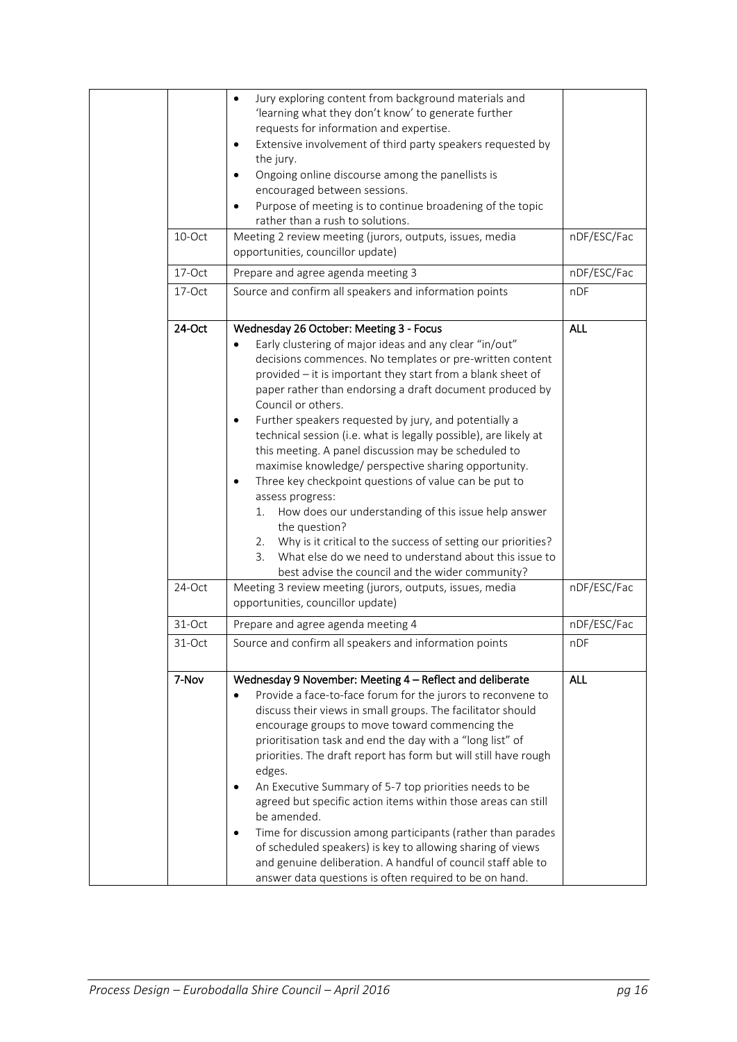|        | Jury exploring content from background materials and<br>$\bullet$<br>'learning what they don't know' to generate further        |             |
|--------|---------------------------------------------------------------------------------------------------------------------------------|-------------|
|        | requests for information and expertise.                                                                                         |             |
|        | Extensive involvement of third party speakers requested by<br>$\bullet$                                                         |             |
|        | the jury.                                                                                                                       |             |
|        | Ongoing online discourse among the panellists is<br>$\bullet$                                                                   |             |
|        | encouraged between sessions.                                                                                                    |             |
|        | Purpose of meeting is to continue broadening of the topic                                                                       |             |
|        | rather than a rush to solutions.                                                                                                |             |
| 10-Oct | Meeting 2 review meeting (jurors, outputs, issues, media                                                                        | nDF/ESC/Fac |
|        | opportunities, councillor update)                                                                                               |             |
| 17-Oct | Prepare and agree agenda meeting 3                                                                                              | nDF/ESC/Fac |
| 17-Oct | Source and confirm all speakers and information points                                                                          | nDF         |
| 24-Oct | Wednesday 26 October: Meeting 3 - Focus                                                                                         | <b>ALL</b>  |
|        | Early clustering of major ideas and any clear "in/out"<br>$\bullet$                                                             |             |
|        | decisions commences. No templates or pre-written content                                                                        |             |
|        | provided - it is important they start from a blank sheet of                                                                     |             |
|        | paper rather than endorsing a draft document produced by<br>Council or others.                                                  |             |
|        | Further speakers requested by jury, and potentially a<br>$\bullet$                                                              |             |
|        | technical session (i.e. what is legally possible), are likely at                                                                |             |
|        | this meeting. A panel discussion may be scheduled to                                                                            |             |
|        | maximise knowledge/ perspective sharing opportunity.                                                                            |             |
|        | Three key checkpoint questions of value can be put to                                                                           |             |
|        | assess progress:                                                                                                                |             |
|        | How does our understanding of this issue help answer<br>1.                                                                      |             |
|        | the question?                                                                                                                   |             |
|        | 2. Why is it critical to the success of setting our priorities?<br>What else do we need to understand about this issue to<br>3. |             |
|        | best advise the council and the wider community?                                                                                |             |
| 24-Oct | Meeting 3 review meeting (jurors, outputs, issues, media                                                                        | nDF/ESC/Fac |
|        | opportunities, councillor update)                                                                                               |             |
| 31-Oct | Prepare and agree agenda meeting 4                                                                                              | nDF/ESC/Fac |
| 31-Oct | Source and confirm all speakers and information points                                                                          | nDF         |
|        |                                                                                                                                 |             |
| 7-Nov  | Wednesday 9 November: Meeting 4 - Reflect and deliberate                                                                        | <b>ALL</b>  |
|        | Provide a face-to-face forum for the jurors to reconvene to<br>$\bullet$                                                        |             |
|        | discuss their views in small groups. The facilitator should                                                                     |             |
|        | encourage groups to move toward commencing the                                                                                  |             |
|        | prioritisation task and end the day with a "long list" of                                                                       |             |
|        | priorities. The draft report has form but will still have rough<br>edges.                                                       |             |
|        | An Executive Summary of 5-7 top priorities needs to be<br>$\bullet$                                                             |             |
|        | agreed but specific action items within those areas can still                                                                   |             |
|        | be amended.                                                                                                                     |             |
|        | Time for discussion among participants (rather than parades<br>$\bullet$                                                        |             |
|        | of scheduled speakers) is key to allowing sharing of views                                                                      |             |
|        | and genuine deliberation. A handful of council staff able to                                                                    |             |
|        | answer data questions is often required to be on hand.                                                                          |             |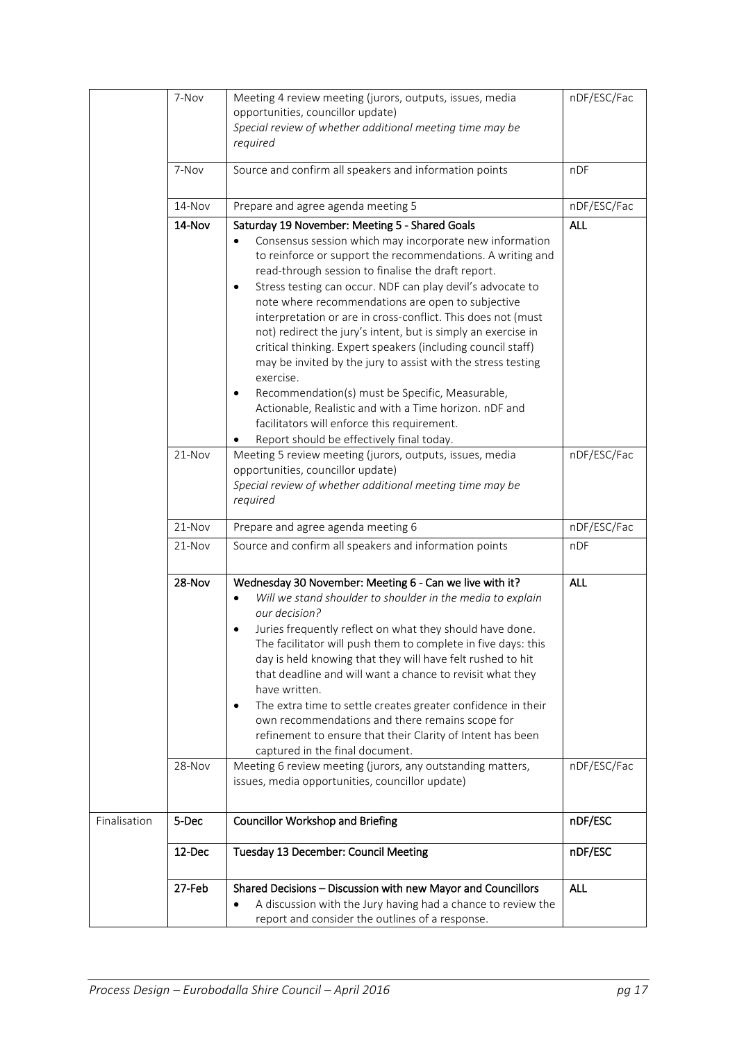|              | 7-Nov  | Meeting 4 review meeting (jurors, outputs, issues, media<br>opportunities, councillor update)<br>Special review of whether additional meeting time may be<br>required                                                                                                                                                                                                                                                                                                                                                                                                                                                                                                                                                                                         | nDF/ESC/Fac |
|--------------|--------|---------------------------------------------------------------------------------------------------------------------------------------------------------------------------------------------------------------------------------------------------------------------------------------------------------------------------------------------------------------------------------------------------------------------------------------------------------------------------------------------------------------------------------------------------------------------------------------------------------------------------------------------------------------------------------------------------------------------------------------------------------------|-------------|
|              | 7-Nov  | Source and confirm all speakers and information points                                                                                                                                                                                                                                                                                                                                                                                                                                                                                                                                                                                                                                                                                                        | nDF         |
|              | 14-Nov | Prepare and agree agenda meeting 5                                                                                                                                                                                                                                                                                                                                                                                                                                                                                                                                                                                                                                                                                                                            | nDF/ESC/Fac |
|              | 14-Nov | Saturday 19 November: Meeting 5 - Shared Goals<br>Consensus session which may incorporate new information<br>to reinforce or support the recommendations. A writing and<br>read-through session to finalise the draft report.<br>Stress testing can occur. NDF can play devil's advocate to<br>٠<br>note where recommendations are open to subjective<br>interpretation or are in cross-conflict. This does not (must<br>not) redirect the jury's intent, but is simply an exercise in<br>critical thinking. Expert speakers (including council staff)<br>may be invited by the jury to assist with the stress testing<br>exercise.<br>Recommendation(s) must be Specific, Measurable,<br>$\bullet$<br>Actionable, Realistic and with a Time horizon. nDF and | <b>ALL</b>  |
|              |        | facilitators will enforce this requirement.<br>Report should be effectively final today.                                                                                                                                                                                                                                                                                                                                                                                                                                                                                                                                                                                                                                                                      |             |
|              | 21-Nov | Meeting 5 review meeting (jurors, outputs, issues, media<br>opportunities, councillor update)<br>Special review of whether additional meeting time may be<br>required                                                                                                                                                                                                                                                                                                                                                                                                                                                                                                                                                                                         | nDF/ESC/Fac |
|              | 21-Nov | Prepare and agree agenda meeting 6                                                                                                                                                                                                                                                                                                                                                                                                                                                                                                                                                                                                                                                                                                                            | nDF/ESC/Fac |
|              | 21-Nov | Source and confirm all speakers and information points                                                                                                                                                                                                                                                                                                                                                                                                                                                                                                                                                                                                                                                                                                        | nDF         |
|              | 28-Nov | Wednesday 30 November: Meeting 6 - Can we live with it?<br>Will we stand shoulder to shoulder in the media to explain<br>our decision?<br>Juries frequently reflect on what they should have done.<br>The facilitator will push them to complete in five days: this<br>day is held knowing that they will have felt rushed to hit<br>that deadline and will want a chance to revisit what they<br>have written.<br>The extra time to settle creates greater confidence in their<br>٠<br>own recommendations and there remains scope for<br>refinement to ensure that their Clarity of Intent has been<br>captured in the final document.                                                                                                                      | <b>ALL</b>  |
|              | 28-Nov | Meeting 6 review meeting (jurors, any outstanding matters,<br>issues, media opportunities, councillor update)                                                                                                                                                                                                                                                                                                                                                                                                                                                                                                                                                                                                                                                 | nDF/ESC/Fac |
| Finalisation | 5-Dec  | <b>Councillor Workshop and Briefing</b>                                                                                                                                                                                                                                                                                                                                                                                                                                                                                                                                                                                                                                                                                                                       | nDF/ESC     |
|              | 12-Dec | Tuesday 13 December: Council Meeting                                                                                                                                                                                                                                                                                                                                                                                                                                                                                                                                                                                                                                                                                                                          | nDF/ESC     |
|              | 27-Feb | Shared Decisions - Discussion with new Mayor and Councillors<br>A discussion with the Jury having had a chance to review the<br>report and consider the outlines of a response.                                                                                                                                                                                                                                                                                                                                                                                                                                                                                                                                                                               | <b>ALL</b>  |